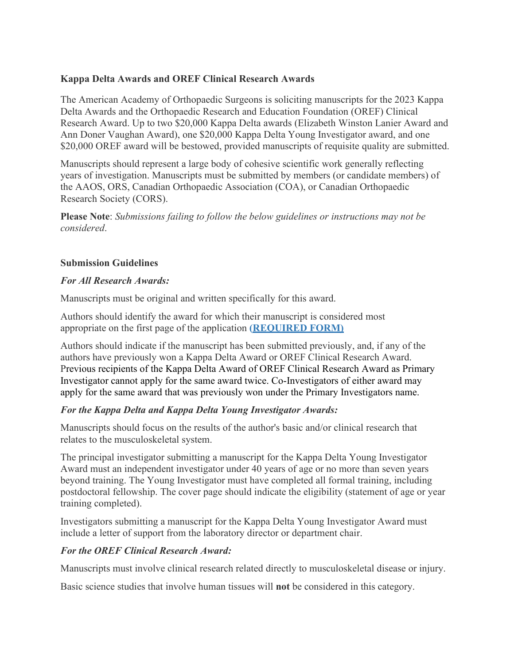## **Kappa Delta Awards and OREF Clinical Research Awards**

The American Academy of Orthopaedic Surgeons is soliciting manuscripts for the 2023 Kappa Delta Awards and the Orthopaedic Research and Education Foundation (OREF) Clinical Research Award. Up to two \$20,000 Kappa Delta awards (Elizabeth Winston Lanier Award and Ann Doner Vaughan Award), one \$20,000 Kappa Delta Young Investigator award, and one \$20,000 OREF award will be bestowed, provided manuscripts of requisite quality are submitted.

Manuscripts should represent a large body of cohesive scientific work generally reflecting years of investigation. Manuscripts must be submitted by members (or candidate members) of the AAOS, ORS, Canadian Orthopaedic Association (COA), or Canadian Orthopaedic Research Society (CORS).

**Please Note**: *Submissions failing to follow the below guidelines or instructions may not be considered*.

## **Submission Guidelines**

#### *For All Research Awards:*

Manuscripts must be original and written specifically for this award.

Authors should identify the award for which their manuscript is considered most appropriate on the first page of the application **[\(REQUIRED FORM\)](https://form.jotform.com/220884745701156)**

Authors should indicate if the manuscript has been submitted previously, and, if any of the authors have previously won a Kappa Delta Award or OREF Clinical Research Award. Previous recipients of the Kappa Delta Award of OREF Clinical Research Award as Primary Investigator cannot apply for the same award twice. Co-Investigators of either award may apply for the same award that was previously won under the Primary Investigators name.

## *For the Kappa Delta and Kappa Delta Young Investigator Awards:*

Manuscripts should focus on the results of the author's basic and/or clinical research that relates to the musculoskeletal system.

The principal investigator submitting a manuscript for the Kappa Delta Young Investigator Award must an independent investigator under 40 years of age or no more than seven years beyond training. The Young Investigator must have completed all formal training, including postdoctoral fellowship. The cover page should indicate the eligibility (statement of age or year training completed).

Investigators submitting a manuscript for the Kappa Delta Young Investigator Award must include a letter of support from the laboratory director or department chair.

## *For the OREF Clinical Research Award:*

Manuscripts must involve clinical research related directly to musculoskeletal disease or injury.

Basic science studies that involve human tissues will **not** be considered in this category.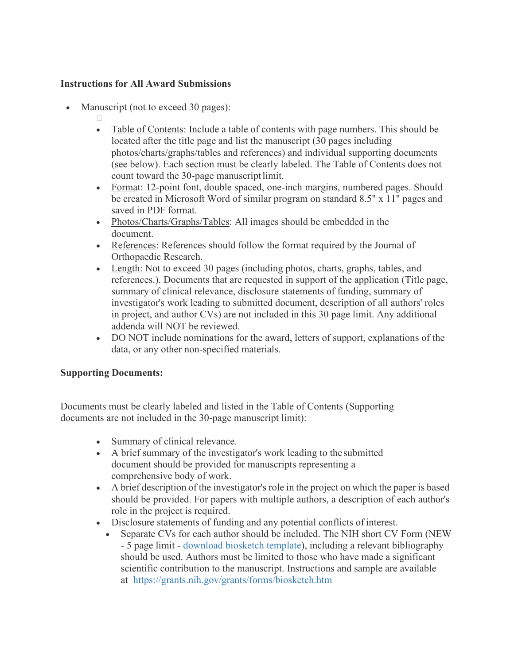## **Instructions for All Award Submissions**

- Manuscript (not to exceed 30 pages):
	- $\Box$
	- Table of Contents: Include a table of contents with page numbers. This should be located after the title page and list the manuscript (30 pages including photos/charts/graphs/tables and references) and individual supporting documents (see below). Each section must be clearly labeled. The Table of Contents does not count toward the 30-page manuscriptlimit.
	- Format: 12-point font, double spaced, one-inch margins, numbered pages. Should be created in Microsoft Word of similar program on standard 8.5" x 11" pages and saved in PDF format.
	- Photos/Charts/Graphs/Tables: All images should be embedded in the document.
	- References: References should follow the format required by the Journal of Orthopaedic Research.
	- Length: Not to exceed 30 pages (including photos, charts, graphs, tables, and references.). Documents that are requested in support of the application (Title page, summary of clinical relevance, disclosure statements of funding, summary of investigator's work leading to submitted document, description of all authors' roles in project, and author CVs) are not included in this 30 page limit. Any additional addenda will NOT be reviewed.
	- DO NOT include nominations for the award, letters of support, explanations of the data, or any other non-specified materials.

# **Supporting Documents:**

Documents must be clearly labeled and listed in the Table of Contents (Supporting documents are not included in the 30-page manuscript limit):

- Summary of clinical relevance.
- A brief summary of the investigator's work leading to the submitted document should be provided for manuscripts representing a comprehensive body of work.
- A brief description of the investigator's role in the project on which the paper is based should be provided. For papers with multiple authors, a description of each author's role in the project is required.
- Disclosure statements of funding and any potential conflicts of interest.
	- Separate CVs for each author should be included. The NIH short CV Form (NEW - 5 page limit - [download biosketch template\)](https://grants.nih.gov/grants/forms/biosketch-blankformat.docx), including a relevant bibliography should be used. Authors must be limited to those who have made a significant scientific contribution to the manuscript. Instructions and sample are available at <https://grants.nih.gov/grants/forms/biosketch.htm>